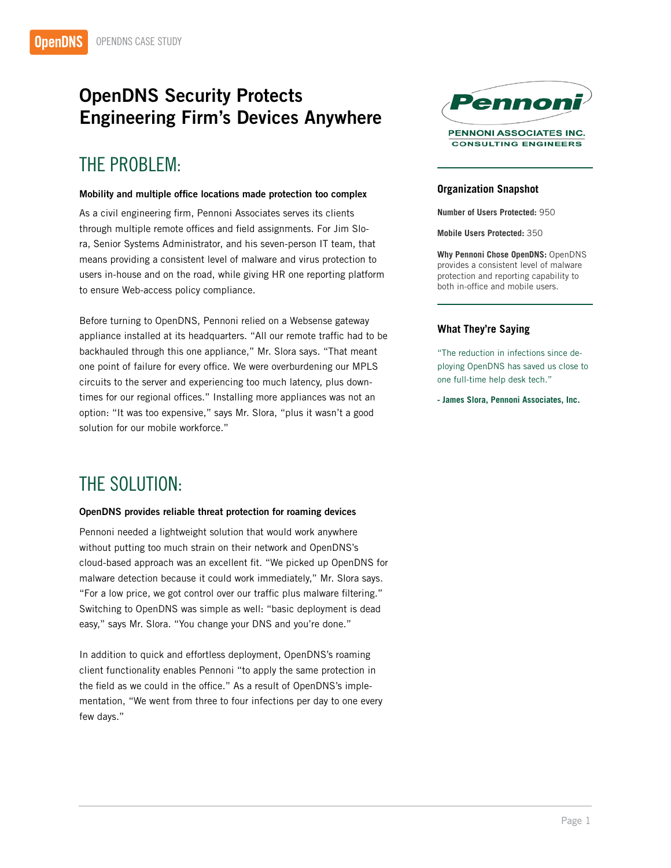# OpenDNS Security Protects Engineering Firm's Devices Anywhere

## THE PROBLEM:

#### Mobility and multiple office locations made protection too complex

As a civil engineering firm, Pennoni Associates serves its clients through multiple remote offices and field assignments. For Jim Slora, Senior Systems Administrator, and his seven-person IT team, that means providing a consistent level of malware and virus protection to users in-house and on the road, while giving HR one reporting platform to ensure Web-access policy compliance.

Before turning to OpenDNS, Pennoni relied on a Websense gateway appliance installed at its headquarters. "All our remote traffic had to be backhauled through this one appliance," Mr. Slora says. "That meant one point of failure for every office. We were overburdening our MPLS circuits to the server and experiencing too much latency, plus downtimes for our regional offices." Installing more appliances was not an option: "It was too expensive," says Mr. Slora, "plus it wasn't a good solution for our mobile workforce."

## THE SOLUTION:

#### OpenDNS provides reliable threat protection for roaming devices

Pennoni needed a lightweight solution that would work anywhere without putting too much strain on their network and OpenDNS's cloud-based approach was an excellent fit. "We picked up OpenDNS for malware detection because it could work immediately," Mr. Slora says. "For a low price, we got control over our traffic plus malware filtering." Switching to OpenDNS was simple as well: "basic deployment is dead easy," says Mr. Slora. "You change your DNS and you're done."

In addition to quick and effortless deployment, OpenDNS's roaming client functionality enables Pennoni "to apply the same protection in the field as we could in the office." As a result of OpenDNS's implementation, "We went from three to four infections per day to one every few days."



### **Organization Snapshot**

**Number of Users Protected:** 950

**Mobile Users Protected:** 350

**Why Pennoni Chose OpenDNS:** OpenDNS provides a consistent level of malware protection and reporting capability to both in-office and mobile users.

### **What They're Saying**

"The reduction in infections since deploying OpenDNS has saved us close to one full-time help desk tech."

**- James Slora, Pennoni Associates, Inc.**